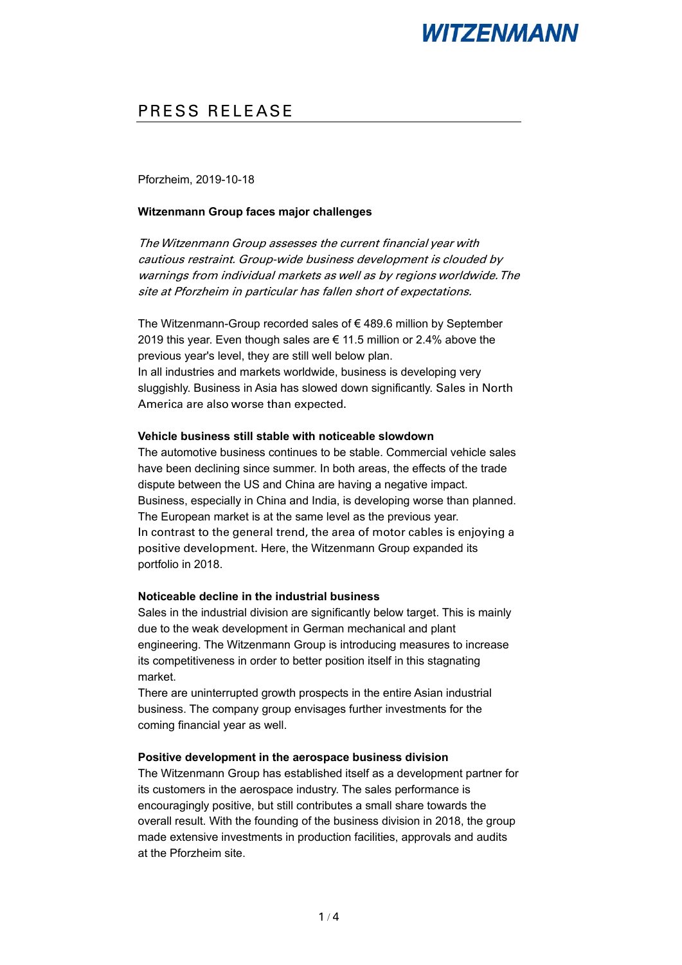## PRESS RELEASE

Pforzheim, 2019-10-18

### **Witzenmann Group faces major challenges**

The Witzenmann Group assesses the current financial year with cautious restraint. Group-wide business development is clouded by warnings from individual markets as well as by regions worldwide. The site at Pforzheim in particular has fallen short of expectations.

The Witzenmann-Group recorded sales of € 489.6 million by September 2019 this year. Even though sales are € 11.5 million or 2.4% above the previous year's level, they are still well below plan. In all industries and markets worldwide, business is developing very sluggishly. Business in Asia has slowed down significantly. Sales in North America are also worse than expected.

#### **Vehicle business still stable with noticeable slowdown**

The automotive business continues to be stable. Commercial vehicle sales have been declining since summer. In both areas, the effects of the trade dispute between the US and China are having a negative impact. Business, especially in China and India, is developing worse than planned. The European market is at the same level as the previous year. In contrast to the general trend, the area of motor cables is enjoying a positive development. Here, the Witzenmann Group expanded its portfolio in 2018.

### **Noticeable decline in the industrial business**

Sales in the industrial division are significantly below target. This is mainly due to the weak development in German mechanical and plant engineering. The Witzenmann Group is introducing measures to increase its competitiveness in order to better position itself in this stagnating market.

There are uninterrupted growth prospects in the entire Asian industrial business. The company group envisages further investments for the coming financial year as well.

#### **Positive development in the aerospace business division**

The Witzenmann Group has established itself as a development partner for its customers in the aerospace industry. The sales performance is encouragingly positive, but still contributes a small share towards the overall result. With the founding of the business division in 2018, the group made extensive investments in production facilities, approvals and audits at the Pforzheim site.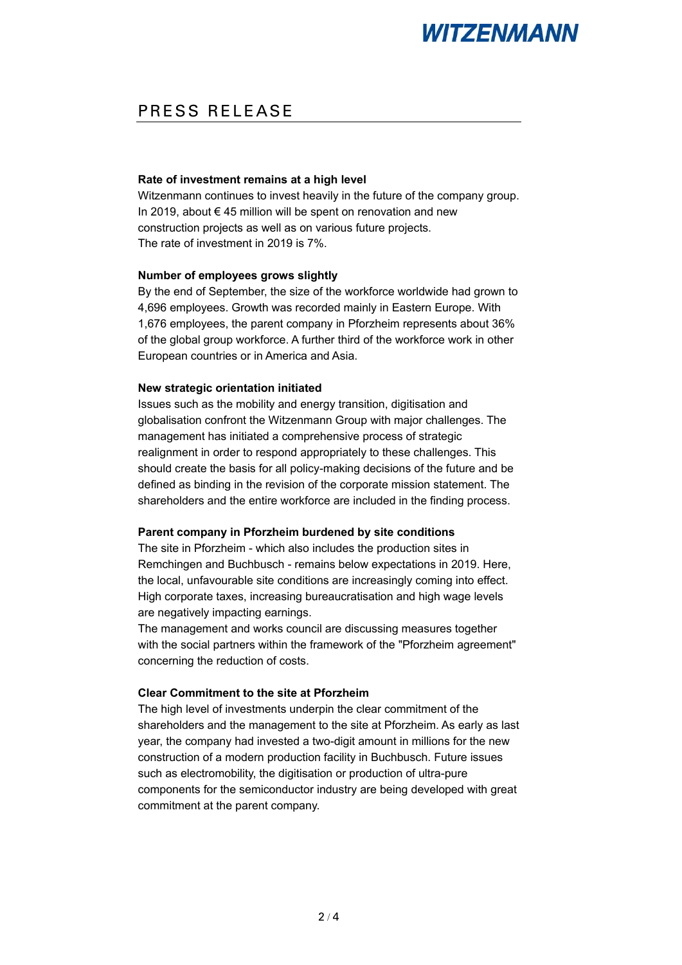## PRESS RELEASE

#### **Rate of investment remains at a high level**

Witzenmann continues to invest heavily in the future of the company group. In 2019, about € 45 million will be spent on renovation and new construction projects as well as on various future projects. The rate of investment in 2019 is 7%.

#### **Number of employees grows slightly**

By the end of September, the size of the workforce worldwide had grown to 4,696 employees. Growth was recorded mainly in Eastern Europe. With 1,676 employees, the parent company in Pforzheim represents about 36% of the global group workforce. A further third of the workforce work in other European countries or in America and Asia.

#### **New strategic orientation initiated**

Issues such as the mobility and energy transition, digitisation and globalisation confront the Witzenmann Group with major challenges. The management has initiated a comprehensive process of strategic realignment in order to respond appropriately to these challenges. This should create the basis for all policy-making decisions of the future and be defined as binding in the revision of the corporate mission statement. The shareholders and the entire workforce are included in the finding process.

### **Parent company in Pforzheim burdened by site conditions**

The site in Pforzheim - which also includes the production sites in Remchingen and Buchbusch - remains below expectations in 2019. Here, the local, unfavourable site conditions are increasingly coming into effect. High corporate taxes, increasing bureaucratisation and high wage levels are negatively impacting earnings.

The management and works council are discussing measures together with the social partners within the framework of the "Pforzheim agreement" concerning the reduction of costs.

### **Clear Commitment to the site at Pforzheim**

The high level of investments underpin the clear commitment of the shareholders and the management to the site at Pforzheim. As early as last year, the company had invested a two-digit amount in millions for the new construction of a modern production facility in Buchbusch. Future issues such as electromobility, the digitisation or production of ultra-pure components for the semiconductor industry are being developed with great commitment at the parent company.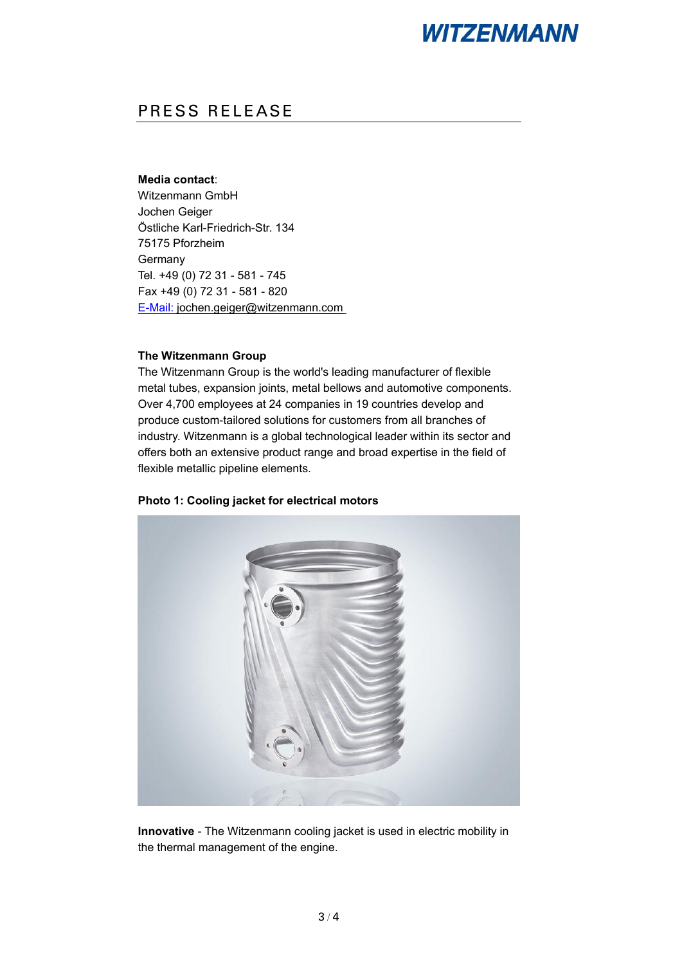## PRESS RELEASE

#### **Media contact**:

Witzenmann GmbH Jochen Geiger [Östliche Karl-Friedrich-Str. 134](http://x-apple-data-detectors/0/0) [75175 Pforzheim](http://x-apple-data-detectors/0/0) [Germany](http://x-apple-data-detectors/0/0) Tel. [+49 \(0\) 72 31 -](Phone:+49%20(0)%2072%2031%20-%20581%20-%20745) 581 - 745 Fax +49 (0) 72 31 - 581 - 820 E-Mail: [jochen.geiger@witzenmann.com](mailto:E-Mail: jochen.geiger@witzenmann.com)

#### **The Witzenmann Group**

The Witzenmann Group is the world's leading manufacturer of flexible metal tubes, expansion joints, metal bellows and automotive components. Over 4,700 employees at 24 companies in 19 countries develop and produce custom-tailored solutions for customers from all branches of industry. Witzenmann is a global technological leader within its sector and offers both an extensive product range and broad expertise in the field of flexible metallic pipeline elements.



**Photo 1: Cooling jacket for electrical motors**

**Innovative** - The Witzenmann cooling jacket is used in electric mobility in the thermal management of the engine.